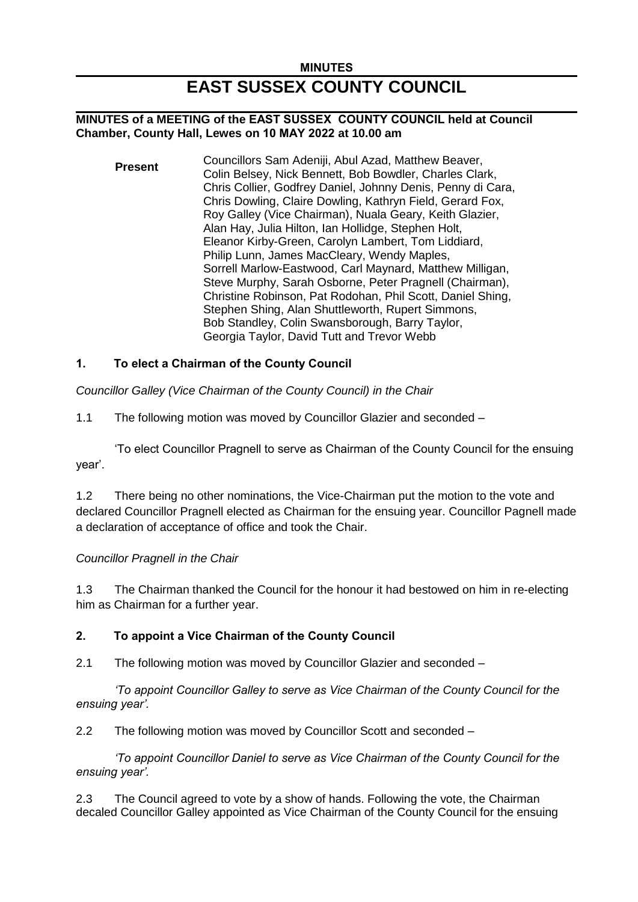# **MINUTES EAST SUSSEX COUNTY COUNCIL**

### **MINUTES of a MEETING of the EAST SUSSEX COUNTY COUNCIL held at Council Chamber, County Hall, Lewes on 10 MAY 2022 at 10.00 am**

**Present** Councillors Sam Adeniji, Abul Azad, Matthew Beaver, Colin Belsey, Nick Bennett, Bob Bowdler, Charles Clark, Chris Collier, Godfrey Daniel, Johnny Denis, Penny di Cara, Chris Dowling, Claire Dowling, Kathryn Field, Gerard Fox, Roy Galley (Vice Chairman), Nuala Geary, Keith Glazier, Alan Hay, Julia Hilton, Ian Hollidge, Stephen Holt, Eleanor Kirby-Green, Carolyn Lambert, Tom Liddiard, Philip Lunn, James MacCleary, Wendy Maples, Sorrell Marlow-Eastwood, Carl Maynard, Matthew Milligan, Steve Murphy, Sarah Osborne, Peter Pragnell (Chairman), Christine Robinson, Pat Rodohan, Phil Scott, Daniel Shing, Stephen Shing, Alan Shuttleworth, Rupert Simmons, Bob Standley, Colin Swansborough, Barry Taylor, Georgia Taylor, David Tutt and Trevor Webb

## **1. To elect a Chairman of the County Council**

*Councillor Galley (Vice Chairman of the County Council) in the Chair*

1.1 The following motion was moved by Councillor Glazier and seconded –

'To elect Councillor Pragnell to serve as Chairman of the County Council for the ensuing year'.

1.2 There being no other nominations, the Vice-Chairman put the motion to the vote and declared Councillor Pragnell elected as Chairman for the ensuing year. Councillor Pagnell made a declaration of acceptance of office and took the Chair.

## *Councillor Pragnell in the Chair*

1.3 The Chairman thanked the Council for the honour it had bestowed on him in re-electing him as Chairman for a further year.

## **2. To appoint a Vice Chairman of the County Council**

2.1 The following motion was moved by Councillor Glazier and seconded –

*'To appoint Councillor Galley to serve as Vice Chairman of the County Council for the ensuing year'.*

2.2 The following motion was moved by Councillor Scott and seconded –

*'To appoint Councillor Daniel to serve as Vice Chairman of the County Council for the ensuing year'.*

2.3 The Council agreed to vote by a show of hands. Following the vote, the Chairman decaled Councillor Galley appointed as Vice Chairman of the County Council for the ensuing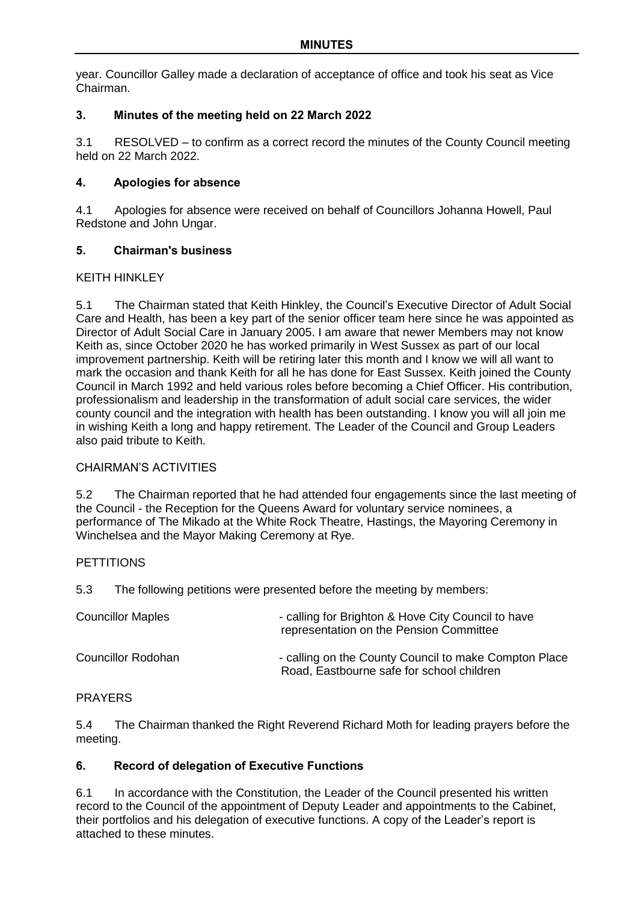year. Councillor Galley made a declaration of acceptance of office and took his seat as Vice Chairman.

## **3. Minutes of the meeting held on 22 March 2022**

3.1 RESOLVED – to confirm as a correct record the minutes of the County Council meeting held on 22 March 2022.

## **4. Apologies for absence**

4.1 Apologies for absence were received on behalf of Councillors Johanna Howell, Paul Redstone and John Ungar.

## **5. Chairman's business**

### KFITH HINKI FY

5.1 The Chairman stated that Keith Hinkley, the Council's Executive Director of Adult Social Care and Health, has been a key part of the senior officer team here since he was appointed as Director of Adult Social Care in January 2005. I am aware that newer Members may not know Keith as, since October 2020 he has worked primarily in West Sussex as part of our local improvement partnership. Keith will be retiring later this month and I know we will all want to mark the occasion and thank Keith for all he has done for East Sussex. Keith joined the County Council in March 1992 and held various roles before becoming a Chief Officer. His contribution, professionalism and leadership in the transformation of adult social care services, the wider county council and the integration with health has been outstanding. I know you will all join me in wishing Keith a long and happy retirement. The Leader of the Council and Group Leaders also paid tribute to Keith.

## CHAIRMAN'S ACTIVITIES

5.2 The Chairman reported that he had attended four engagements since the last meeting of the Council - the Reception for the Queens Award for voluntary service nominees, a performance of The Mikado at the White Rock Theatre, Hastings, the Mayoring Ceremony in Winchelsea and the Mayor Making Ceremony at Rye.

### **PETTITIONS**

5.3 The following petitions were presented before the meeting by members:

| <b>Councillor Maples</b> | - calling for Brighton & Hove City Council to have<br>representation on the Pension Committee      |
|--------------------------|----------------------------------------------------------------------------------------------------|
| Councillor Rodohan       | - calling on the County Council to make Compton Place<br>Road, Eastbourne safe for school children |

### PRAYERS

5.4 The Chairman thanked the Right Reverend Richard Moth for leading prayers before the meeting.

## **6. Record of delegation of Executive Functions**

6.1 In accordance with the Constitution, the Leader of the Council presented his written record to the Council of the appointment of Deputy Leader and appointments to the Cabinet, their portfolios and his delegation of executive functions. A copy of the Leader's report is attached to these minutes.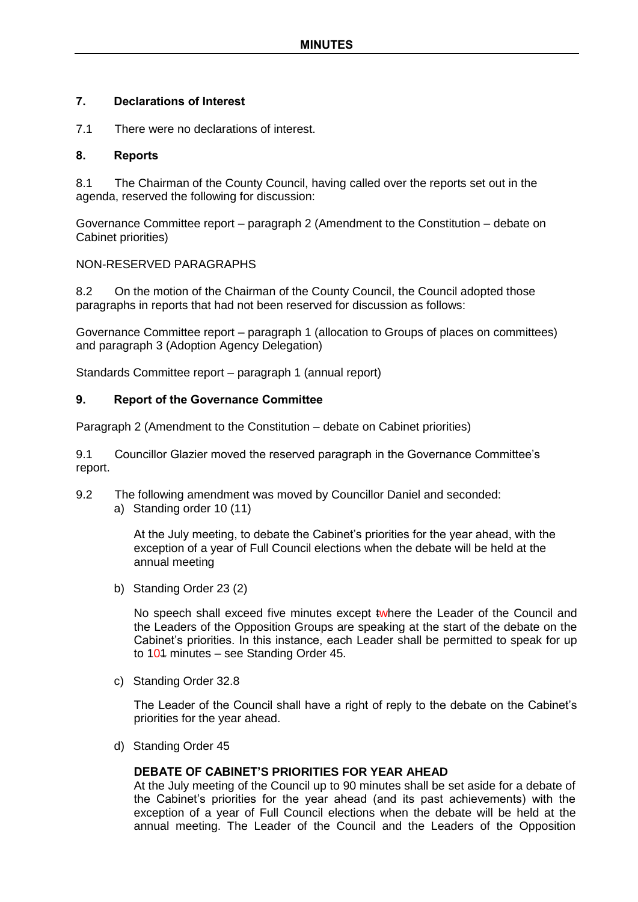### **7. Declarations of Interest**

7.1 There were no declarations of interest.

### **8. Reports**

8.1 The Chairman of the County Council, having called over the reports set out in the agenda, reserved the following for discussion:

Governance Committee report – paragraph 2 (Amendment to the Constitution – debate on Cabinet priorities)

### NON-RESERVED PARAGRAPHS

8.2 On the motion of the Chairman of the County Council, the Council adopted those paragraphs in reports that had not been reserved for discussion as follows:

Governance Committee report – paragraph 1 (allocation to Groups of places on committees) and paragraph 3 (Adoption Agency Delegation)

Standards Committee report – paragraph 1 (annual report)

### **9. Report of the Governance Committee**

Paragraph 2 (Amendment to the Constitution – debate on Cabinet priorities)

9.1 Councillor Glazier moved the reserved paragraph in the Governance Committee's report.

- 9.2 The following amendment was moved by Councillor Daniel and seconded:
	- a) Standing order 10 (11)

At the July meeting, to debate the Cabinet's priorities for the year ahead, with the exception of a year of Full Council elections when the debate will be held at the annual meeting

b) Standing Order 23 (2)

No speech shall exceed five minutes except twhere the Leader of the Council and the Leaders of the Opposition Groups are speaking at the start of the debate on the Cabinet's priorities. In this instance, each Leader shall be permitted to speak for up to  $104$  minutes – see Standing Order 45.

c) Standing Order 32.8

The Leader of the Council shall have a right of reply to the debate on the Cabinet's priorities for the year ahead.

d) Standing Order 45

### **DEBATE OF CABINET'S PRIORITIES FOR YEAR AHEAD**

At the July meeting of the Council up to 90 minutes shall be set aside for a debate of the Cabinet's priorities for the year ahead (and its past achievements) with the exception of a year of Full Council elections when the debate will be held at the annual meeting. The Leader of the Council and the Leaders of the Opposition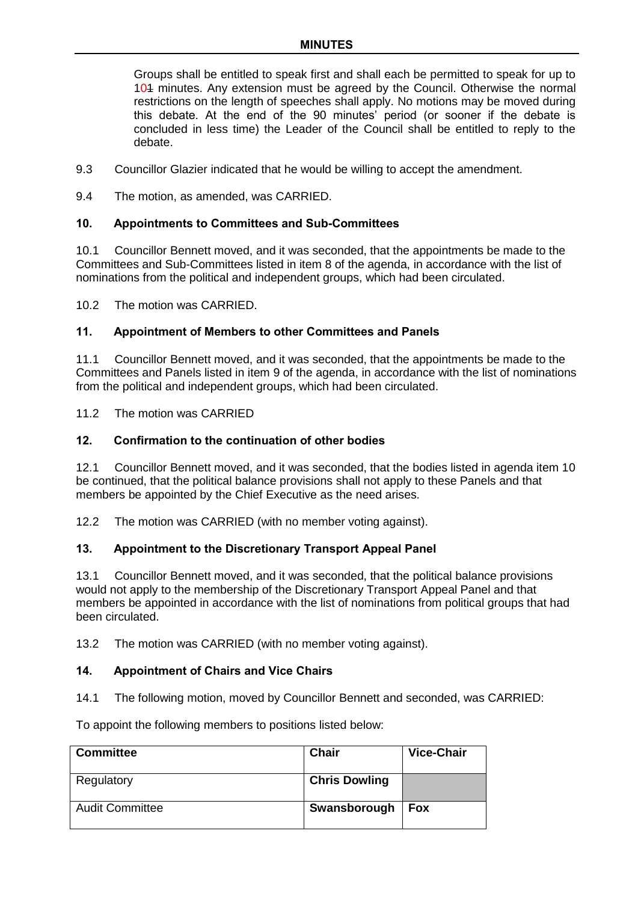Groups shall be entitled to speak first and shall each be permitted to speak for up to 101 minutes. Any extension must be agreed by the Council. Otherwise the normal restrictions on the length of speeches shall apply. No motions may be moved during this debate. At the end of the 90 minutes' period (or sooner if the debate is concluded in less time) the Leader of the Council shall be entitled to reply to the debate.

- 9.3 Councillor Glazier indicated that he would be willing to accept the amendment.
- 9.4 The motion, as amended, was CARRIED.

### **10. Appointments to Committees and Sub-Committees**

10.1 Councillor Bennett moved, and it was seconded, that the appointments be made to the Committees and Sub-Committees listed in item 8 of the agenda, in accordance with the list of nominations from the political and independent groups, which had been circulated.

10.2 The motion was CARRIED.

#### **11. Appointment of Members to other Committees and Panels**

11.1 Councillor Bennett moved, and it was seconded, that the appointments be made to the Committees and Panels listed in item 9 of the agenda, in accordance with the list of nominations from the political and independent groups, which had been circulated.

11.2 The motion was CARRIED

#### **12. Confirmation to the continuation of other bodies**

12.1 Councillor Bennett moved, and it was seconded, that the bodies listed in agenda item 10 be continued, that the political balance provisions shall not apply to these Panels and that members be appointed by the Chief Executive as the need arises.

12.2 The motion was CARRIED (with no member voting against).

### **13. Appointment to the Discretionary Transport Appeal Panel**

13.1 Councillor Bennett moved, and it was seconded, that the political balance provisions would not apply to the membership of the Discretionary Transport Appeal Panel and that members be appointed in accordance with the list of nominations from political groups that had been circulated.

13.2 The motion was CARRIED (with no member voting against).

### **14. Appointment of Chairs and Vice Chairs**

14.1 The following motion, moved by Councillor Bennett and seconded, was CARRIED:

To appoint the following members to positions listed below:

| <b>Committee</b>       | <b>Chair</b>         | <b>Vice-Chair</b> |
|------------------------|----------------------|-------------------|
| Regulatory             | <b>Chris Dowling</b> |                   |
| <b>Audit Committee</b> | Swansborough         | <b>Fox</b>        |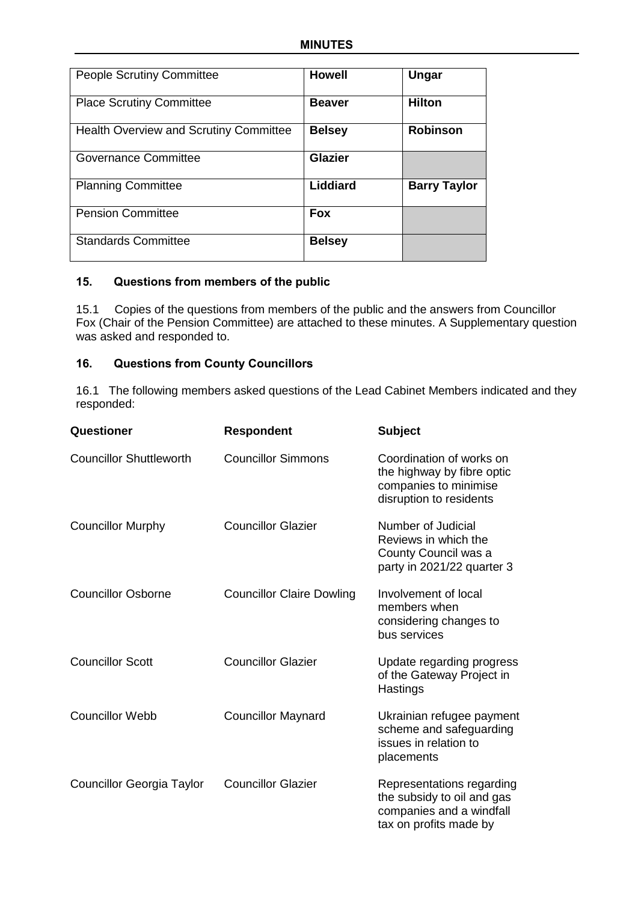| <b>People Scrutiny Committee</b>              | <b>Howell</b>  | Ungar               |
|-----------------------------------------------|----------------|---------------------|
| <b>Place Scrutiny Committee</b>               | <b>Beaver</b>  | <b>Hilton</b>       |
| <b>Health Overview and Scrutiny Committee</b> | <b>Belsey</b>  | <b>Robinson</b>     |
| <b>Governance Committee</b>                   | <b>Glazier</b> |                     |
| <b>Planning Committee</b>                     | Liddiard       | <b>Barry Taylor</b> |
| <b>Pension Committee</b>                      | <b>Fox</b>     |                     |
| <b>Standards Committee</b>                    | <b>Belsey</b>  |                     |

### **15. Questions from members of the public**

15.1 Copies of the questions from members of the public and the answers from Councillor Fox (Chair of the Pension Committee) are attached to these minutes. A Supplementary question was asked and responded to.

## **16. Questions from County Councillors**

16.1 The following members asked questions of the Lead Cabinet Members indicated and they responded:

| Questioner                       | <b>Respondent</b>                | <b>Subject</b>                                                                                                |
|----------------------------------|----------------------------------|---------------------------------------------------------------------------------------------------------------|
| <b>Councillor Shuttleworth</b>   | <b>Councillor Simmons</b>        | Coordination of works on<br>the highway by fibre optic<br>companies to minimise<br>disruption to residents    |
| <b>Councillor Murphy</b>         | <b>Councillor Glazier</b>        | Number of Judicial<br>Reviews in which the<br>County Council was a<br>party in 2021/22 quarter 3              |
| <b>Councillor Osborne</b>        | <b>Councillor Claire Dowling</b> | Involvement of local<br>members when<br>considering changes to<br>bus services                                |
| <b>Councillor Scott</b>          | <b>Councillor Glazier</b>        | Update regarding progress<br>of the Gateway Project in<br>Hastings                                            |
| <b>Councillor Webb</b>           | <b>Councillor Maynard</b>        | Ukrainian refugee payment<br>scheme and safeguarding<br>issues in relation to<br>placements                   |
| <b>Councillor Georgia Taylor</b> | <b>Councillor Glazier</b>        | Representations regarding<br>the subsidy to oil and gas<br>companies and a windfall<br>tax on profits made by |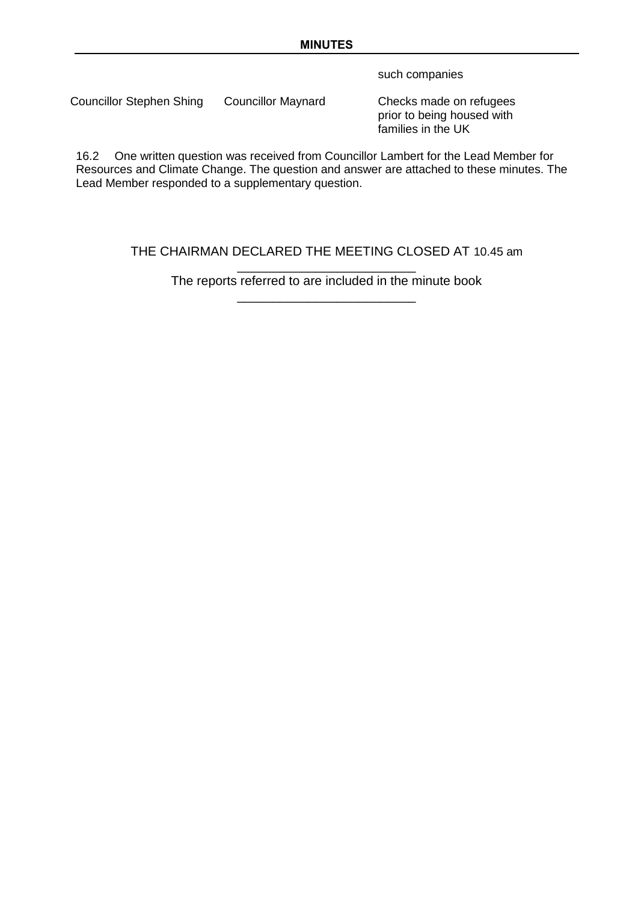such companies

Councillor Stephen Shing Councillor Maynard Checks made on refugees

prior to being housed with families in the UK

16.2 One written question was received from Councillor Lambert for the Lead Member for Resources and Climate Change. The question and answer are attached to these minutes. The Lead Member responded to a supplementary question.

## THE CHAIRMAN DECLARED THE MEETING CLOSED AT 10.45 am

\_\_\_\_\_\_\_\_\_\_\_\_\_\_\_\_\_\_\_\_\_\_\_\_\_ The reports referred to are included in the minute book \_\_\_\_\_\_\_\_\_\_\_\_\_\_\_\_\_\_\_\_\_\_\_\_\_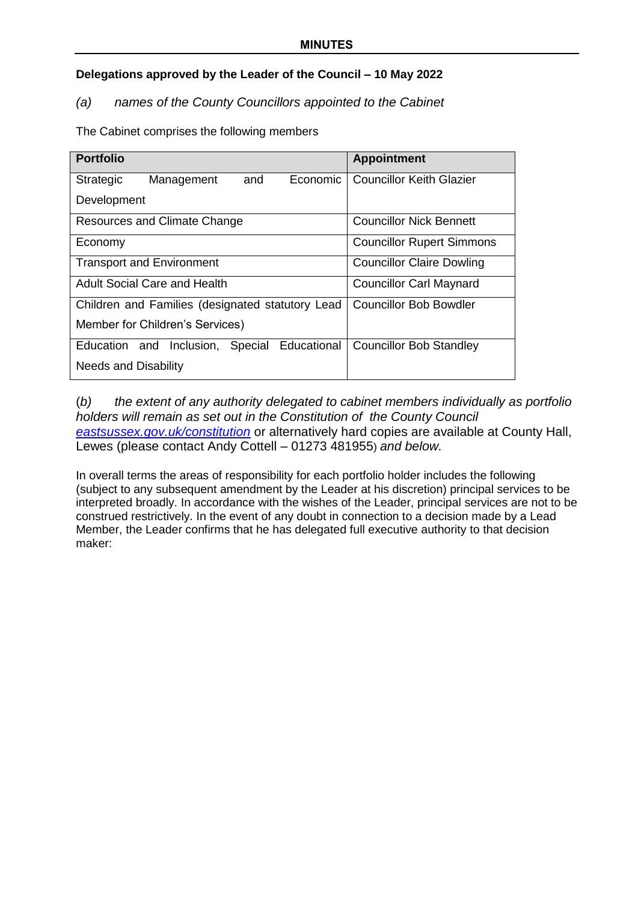## **Delegations approved by the Leader of the Council – 10 May 2022**

## *(a) names of the County Councillors appointed to the Cabinet*

The Cabinet comprises the following members

| <b>Portfolio</b>                                  | <b>Appointment</b>               |
|---------------------------------------------------|----------------------------------|
| Management<br>Economic<br><b>Strategic</b><br>and | <b>Councillor Keith Glazier</b>  |
| Development                                       |                                  |
| Resources and Climate Change                      | <b>Councillor Nick Bennett</b>   |
| Economy                                           | <b>Councillor Rupert Simmons</b> |
| <b>Transport and Environment</b>                  | <b>Councillor Claire Dowling</b> |
| <b>Adult Social Care and Health</b>               | <b>Councillor Carl Maynard</b>   |
| Children and Families (designated statutory Lead  | <b>Councillor Bob Bowdler</b>    |
| Member for Children's Services)                   |                                  |
| Education and Inclusion, Special Educational      | <b>Councillor Bob Standley</b>   |
| <b>Needs and Disability</b>                       |                                  |

## (*b) the extent of any authority delegated to cabinet members individually as portfolio holders will remain as set out in the Constitution of the County Council [eastsussex.gov.uk/constitution](https://www.eastsussex.gov.uk/yourcouncil/about/keydocuments/constitution)* or alternatively hard copies are available at County Hall, Lewes (please contact Andy Cottell – 01273 481955) *and below.*

In overall terms the areas of responsibility for each portfolio holder includes the following (subject to any subsequent amendment by the Leader at his discretion) principal services to be interpreted broadly. In accordance with the wishes of the Leader, principal services are not to be construed restrictively. In the event of any doubt in connection to a decision made by a Lead Member, the Leader confirms that he has delegated full executive authority to that decision maker: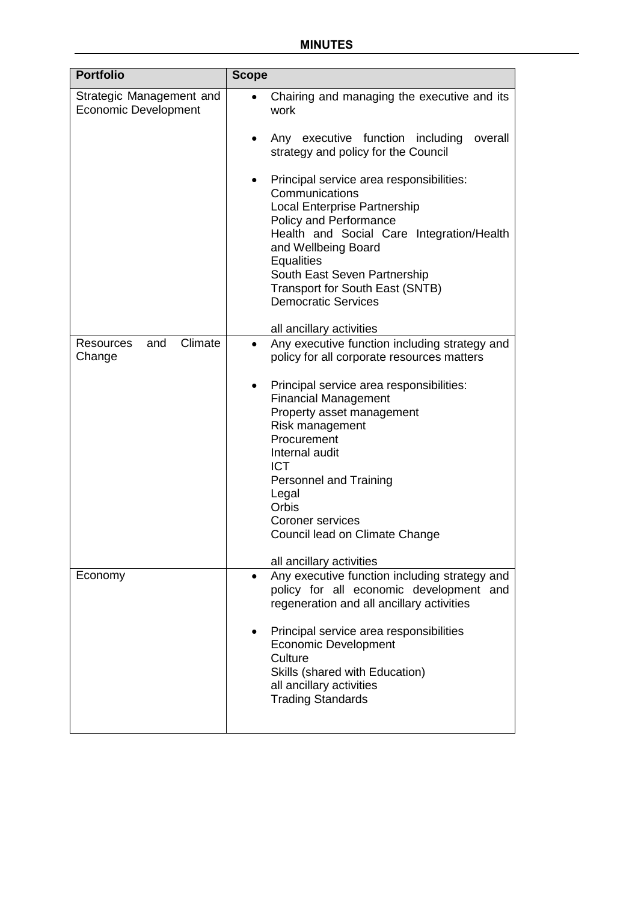| <b>Portfolio</b>                                        | <b>Scope</b>                                                                                                                                                                                                                                                                                                               |
|---------------------------------------------------------|----------------------------------------------------------------------------------------------------------------------------------------------------------------------------------------------------------------------------------------------------------------------------------------------------------------------------|
| Strategic Management and<br><b>Economic Development</b> | Chairing and managing the executive and its<br>work                                                                                                                                                                                                                                                                        |
|                                                         | Any executive function including<br>overall<br>strategy and policy for the Council                                                                                                                                                                                                                                         |
|                                                         | Principal service area responsibilities:<br>٠<br>Communications<br><b>Local Enterprise Partnership</b><br>Policy and Performance<br>Health and Social Care Integration/Health<br>and Wellbeing Board<br>Equalities<br>South East Seven Partnership<br><b>Transport for South East (SNTB)</b><br><b>Democratic Services</b> |
|                                                         | all ancillary activities                                                                                                                                                                                                                                                                                                   |
| Climate<br>and<br><b>Resources</b><br>Change            | Any executive function including strategy and<br>$\bullet$<br>policy for all corporate resources matters<br>Principal service area responsibilities:<br>$\bullet$<br><b>Financial Management</b><br>Property asset management<br>Risk management                                                                           |
|                                                         | Procurement<br>Internal audit<br><b>ICT</b>                                                                                                                                                                                                                                                                                |
|                                                         | Personnel and Training<br>Legal<br>Orbis                                                                                                                                                                                                                                                                                   |
|                                                         | <b>Coroner services</b><br>Council lead on Climate Change                                                                                                                                                                                                                                                                  |
|                                                         | all ancillary activities                                                                                                                                                                                                                                                                                                   |
| Economy                                                 | Any executive function including strategy and<br>$\bullet$<br>policy for all economic development and<br>regeneration and all ancillary activities                                                                                                                                                                         |
|                                                         | Principal service area responsibilities<br>$\bullet$<br><b>Economic Development</b><br>Culture<br>Skills (shared with Education)<br>all ancillary activities<br><b>Trading Standards</b>                                                                                                                                   |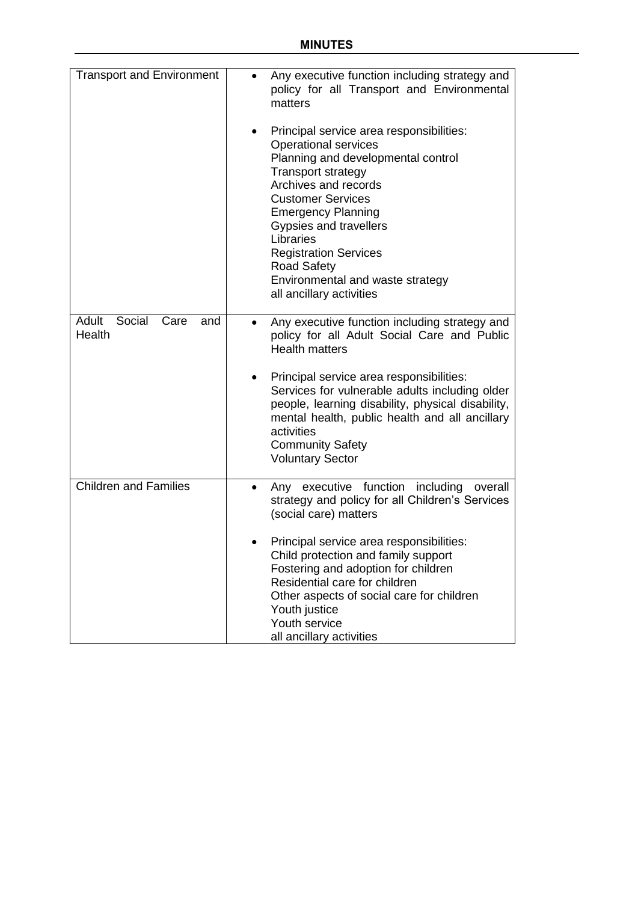| <b>Transport and Environment</b>         | Any executive function including strategy and<br>policy for all Transport and Environmental<br>matters                                                                                                                                                                                                                                                                                   |
|------------------------------------------|------------------------------------------------------------------------------------------------------------------------------------------------------------------------------------------------------------------------------------------------------------------------------------------------------------------------------------------------------------------------------------------|
|                                          | Principal service area responsibilities:<br><b>Operational services</b><br>Planning and developmental control<br><b>Transport strategy</b><br>Archives and records<br><b>Customer Services</b><br><b>Emergency Planning</b><br>Gypsies and travellers<br>Libraries<br><b>Registration Services</b><br><b>Road Safety</b><br>Environmental and waste strategy<br>all ancillary activities |
| Social<br>Adult<br>Care<br>and<br>Health | Any executive function including strategy and<br>policy for all Adult Social Care and Public<br><b>Health matters</b>                                                                                                                                                                                                                                                                    |
|                                          | Principal service area responsibilities:<br>Services for vulnerable adults including older<br>people, learning disability, physical disability,<br>mental health, public health and all ancillary<br>activities<br><b>Community Safety</b><br><b>Voluntary Sector</b>                                                                                                                    |
| <b>Children and Families</b>             | Any executive function including<br>overall<br>strategy and policy for all Children's Services<br>(social care) matters                                                                                                                                                                                                                                                                  |
|                                          | Principal service area responsibilities:<br>Child protection and family support<br>Fostering and adoption for children<br>Residential care for children<br>Other aspects of social care for children<br>Youth justice<br>Youth service<br>all ancillary activities                                                                                                                       |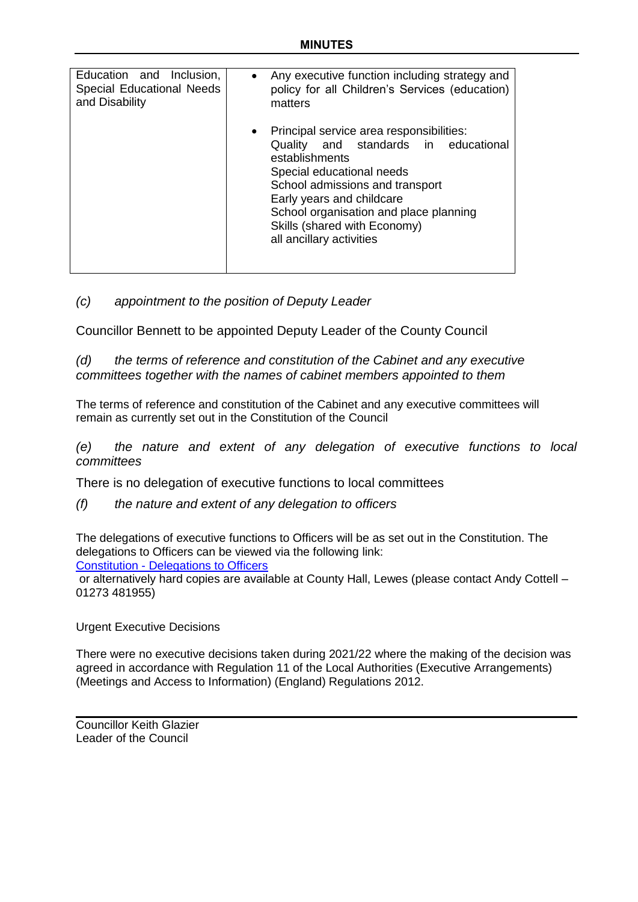| Education and Inclusion,         | Any executive function including strategy and                                                                                                                                                                                                                                                           |
|----------------------------------|---------------------------------------------------------------------------------------------------------------------------------------------------------------------------------------------------------------------------------------------------------------------------------------------------------|
| <b>Special Educational Needs</b> | policy for all Children's Services (education)                                                                                                                                                                                                                                                          |
| and Disability                   | matters                                                                                                                                                                                                                                                                                                 |
|                                  | • Principal service area responsibilities:<br>Quality and standards in educational<br>establishments<br>Special educational needs<br>School admissions and transport<br>Early years and childcare<br>School organisation and place planning<br>Skills (shared with Economy)<br>all ancillary activities |

## *(c) appointment to the position of Deputy Leader*

Councillor Bennett to be appointed Deputy Leader of the County Council

*(d) the terms of reference and constitution of the Cabinet and any executive committees together with the names of cabinet members appointed to them*

The terms of reference and constitution of the Cabinet and any executive committees will remain as currently set out in the Constitution of the Council

*(e) the nature and extent of any delegation of executive functions to local committees*

There is no delegation of executive functions to local committees

*(f) the nature and extent of any delegation to officers*

The delegations of executive functions to Officers will be as set out in the Constitution. The delegations to Officers can be viewed via the following link:

Constitution - [Delegations to Officers](http://www.eastsussex.gov.uk/media/7710/3-final-part-3-table-6-delegations-to-officers.pdf)

or alternatively hard copies are available at County Hall, Lewes (please contact Andy Cottell – 01273 481955)

Urgent Executive Decisions

There were no executive decisions taken during 2021/22 where the making of the decision was agreed in accordance with Regulation 11 of the Local Authorities (Executive Arrangements) (Meetings and Access to Information) (England) Regulations 2012.

Councillor Keith Glazier Leader of the Council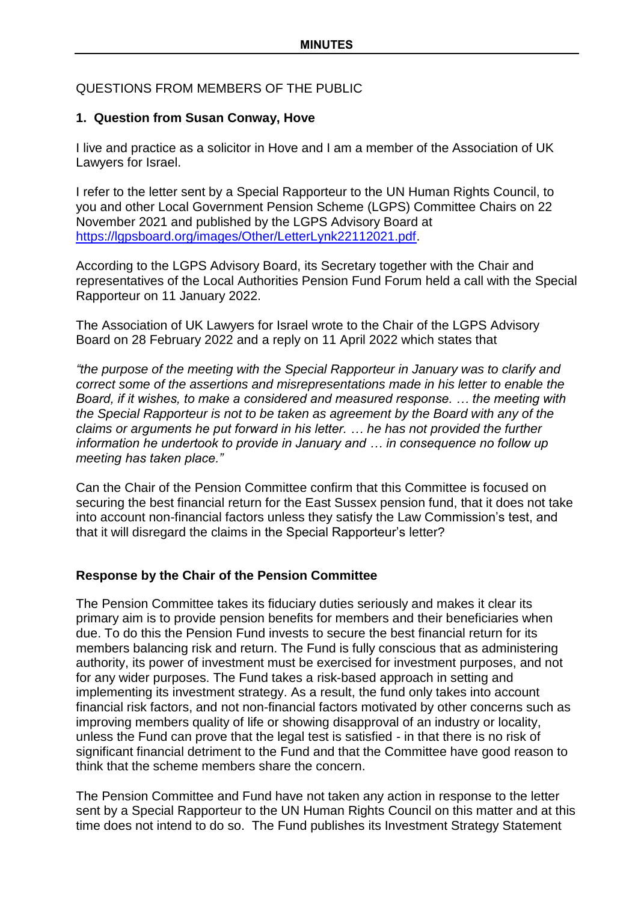## QUESTIONS FROM MEMBERS OF THE PUBLIC

## **1. Question from Susan Conway, Hove**

I live and practice as a solicitor in Hove and I am a member of the Association of UK Lawyers for Israel.

I refer to the letter sent by a Special Rapporteur to the UN Human Rights Council, to you and other Local Government Pension Scheme (LGPS) Committee Chairs on 22 November 2021 and published by the LGPS Advisory Board at [https://lgpsboard.org/images/Other/LetterLynk22112021.pdf.](https://lgpsboard.org/images/Other/LetterLynk22112021.pdf)

According to the LGPS Advisory Board, its Secretary together with the Chair and representatives of the Local Authorities Pension Fund Forum held a call with the Special Rapporteur on 11 January 2022.

The Association of UK Lawyers for Israel wrote to the Chair of the LGPS Advisory Board on 28 February 2022 and a reply on 11 April 2022 which states that

*"the purpose of the meeting with the Special Rapporteur in January was to clarify and correct some of the assertions and misrepresentations made in his letter to enable the Board, if it wishes, to make a considered and measured response. … the meeting with the Special Rapporteur is not to be taken as agreement by the Board with any of the claims or arguments he put forward in his letter. … he has not provided the further information he undertook to provide in January and … in consequence no follow up meeting has taken place."*

Can the Chair of the Pension Committee confirm that this Committee is focused on securing the best financial return for the East Sussex pension fund, that it does not take into account non-financial factors unless they satisfy the Law Commission's test, and that it will disregard the claims in the Special Rapporteur's letter?

## **Response by the Chair of the Pension Committee**

The Pension Committee takes its fiduciary duties seriously and makes it clear its primary aim is to provide pension benefits for members and their beneficiaries when due. To do this the Pension Fund invests to secure the best financial return for its members balancing risk and return. The Fund is fully conscious that as administering authority, its power of investment must be exercised for investment purposes, and not for any wider purposes. The Fund takes a risk-based approach in setting and implementing its investment strategy. As a result, the fund only takes into account financial risk factors, and not non-financial factors motivated by other concerns such as improving members quality of life or showing disapproval of an industry or locality, unless the Fund can prove that the legal test is satisfied - in that there is no risk of significant financial detriment to the Fund and that the Committee have good reason to think that the scheme members share the concern.

The Pension Committee and Fund have not taken any action in response to the letter sent by a Special Rapporteur to the UN Human Rights Council on this matter and at this time does not intend to do so. The Fund publishes its Investment Strategy Statement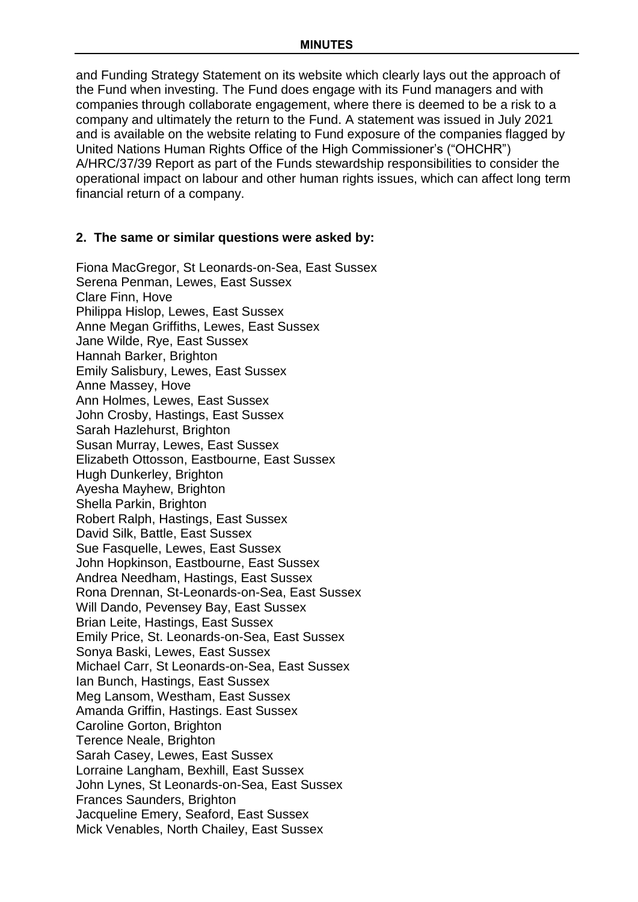and Funding Strategy Statement on its website which clearly lays out the approach of the Fund when investing. The Fund does engage with its Fund managers and with companies through collaborate engagement, where there is deemed to be a risk to a company and ultimately the return to the Fund. A statement was issued in July 2021 and is available on the website relating to Fund exposure of the companies flagged by United Nations Human Rights Office of the High Commissioner's ("OHCHR") A/HRC/37/39 Report as part of the Funds stewardship responsibilities to consider the operational impact on labour and other human rights issues, which can affect long term financial return of a company.

### **2. The same or similar questions were asked by:**

Fiona MacGregor, St Leonards-on-Sea, East Sussex Serena Penman, Lewes, East Sussex Clare Finn, Hove Philippa Hislop, Lewes, East Sussex Anne Megan Griffiths, Lewes, East Sussex Jane Wilde, Rye, East Sussex Hannah Barker, Brighton Emily Salisbury, Lewes, East Sussex Anne Massey, Hove Ann Holmes, Lewes, East Sussex John Crosby, Hastings, East Sussex Sarah Hazlehurst, Brighton Susan Murray, Lewes, East Sussex Elizabeth Ottosson, Eastbourne, East Sussex Hugh Dunkerley, Brighton Ayesha Mayhew, Brighton Shella Parkin, Brighton Robert Ralph, Hastings, East Sussex David Silk, Battle, East Sussex Sue Fasquelle, Lewes, East Sussex John Hopkinson, Eastbourne, East Sussex Andrea Needham, Hastings, East Sussex Rona Drennan, St-Leonards-on-Sea, East Sussex Will Dando, Pevensey Bay, East Sussex Brian Leite, Hastings, East Sussex Emily Price, St. Leonards-on-Sea, East Sussex Sonya Baski, Lewes, East Sussex Michael Carr, St Leonards-on-Sea, East Sussex Ian Bunch, Hastings, East Sussex Meg Lansom, Westham, East Sussex Amanda Griffin, Hastings. East Sussex Caroline Gorton, Brighton Terence Neale, Brighton Sarah Casey, Lewes, East Sussex Lorraine Langham, Bexhill, East Sussex John Lynes, St Leonards-on-Sea, East Sussex Frances Saunders, Brighton Jacqueline Emery, Seaford, East Sussex Mick Venables, North Chailey, East Sussex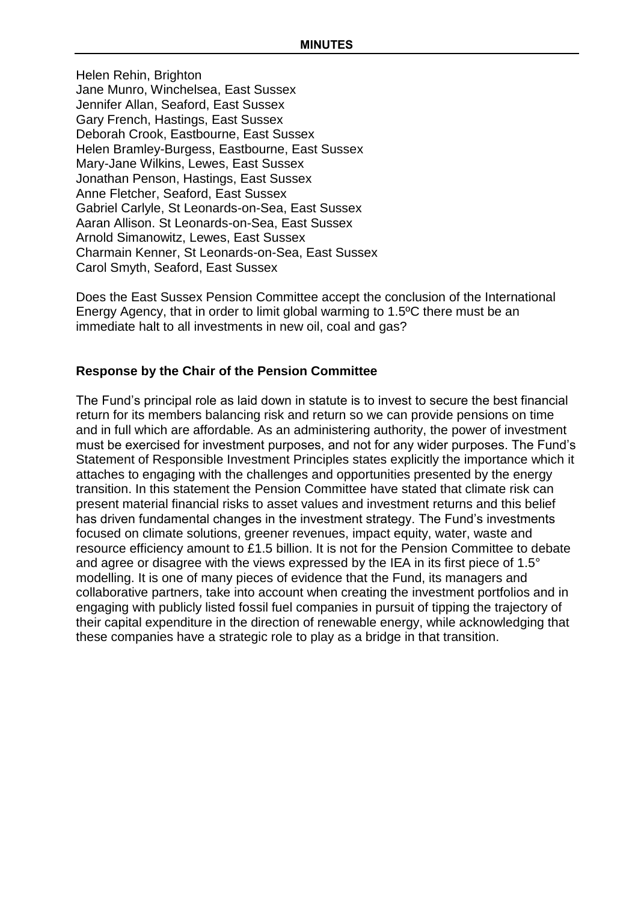Helen Rehin, Brighton Jane Munro, Winchelsea, East Sussex Jennifer Allan, Seaford, East Sussex Gary French, Hastings, East Sussex Deborah Crook, Eastbourne, East Sussex Helen Bramley-Burgess, Eastbourne, East Sussex Mary-Jane Wilkins, Lewes, East Sussex Jonathan Penson, Hastings, East Sussex Anne Fletcher, Seaford, East Sussex Gabriel Carlyle, St Leonards-on-Sea, East Sussex Aaran Allison. St Leonards-on-Sea, East Sussex Arnold Simanowitz, Lewes, East Sussex Charmain Kenner, St Leonards-on-Sea, East Sussex Carol Smyth, Seaford, East Sussex

Does the East Sussex Pension Committee accept the conclusion of the International Energy Agency, that in order to limit global warming to 1.5ºC there must be an immediate halt to all investments in new oil, coal and gas?

## **Response by the Chair of the Pension Committee**

The Fund's principal role as laid down in statute is to invest to secure the best financial return for its members balancing risk and return so we can provide pensions on time and in full which are affordable. As an administering authority, the power of investment must be exercised for investment purposes, and not for any wider purposes. The Fund's Statement of Responsible Investment Principles states explicitly the importance which it attaches to engaging with the challenges and opportunities presented by the energy transition. In this statement the Pension Committee have stated that climate risk can present material financial risks to asset values and investment returns and this belief has driven fundamental changes in the investment strategy. The Fund's investments focused on climate solutions, greener revenues, impact equity, water, waste and resource efficiency amount to £1.5 billion. It is not for the Pension Committee to debate and agree or disagree with the views expressed by the IEA in its first piece of 1.5° modelling. It is one of many pieces of evidence that the Fund, its managers and collaborative partners, take into account when creating the investment portfolios and in engaging with publicly listed fossil fuel companies in pursuit of tipping the trajectory of their capital expenditure in the direction of renewable energy, while acknowledging that these companies have a strategic role to play as a bridge in that transition.